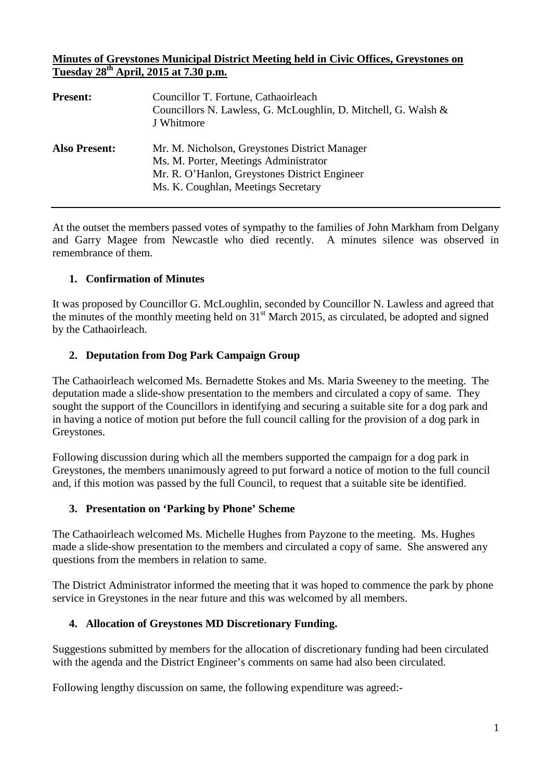#### **Minutes of Greystones Municipal District Meeting held in Civic Offices, Greystones on Tuesday 28th April, 2015 at 7.30 p.m.**

| <b>Present:</b>      | Councillor T. Fortune, Cathaoirleach<br>Councillors N. Lawless, G. McLoughlin, D. Mitchell, G. Walsh &<br>J Whitmore                                                           |
|----------------------|--------------------------------------------------------------------------------------------------------------------------------------------------------------------------------|
| <b>Also Present:</b> | Mr. M. Nicholson, Greystones District Manager<br>Ms. M. Porter, Meetings Administrator<br>Mr. R. O'Hanlon, Greystones District Engineer<br>Ms. K. Coughlan, Meetings Secretary |

At the outset the members passed votes of sympathy to the families of John Markham from Delgany and Garry Magee from Newcastle who died recently. A minutes silence was observed in remembrance of them.

## **1. Confirmation of Minutes**

It was proposed by Councillor G. McLoughlin, seconded by Councillor N. Lawless and agreed that the minutes of the monthly meeting held on  $31<sup>st</sup>$  March 2015, as circulated, be adopted and signed by the Cathaoirleach.

## **2. Deputation from Dog Park Campaign Group**

The Cathaoirleach welcomed Ms. Bernadette Stokes and Ms. Maria Sweeney to the meeting. The deputation made a slide-show presentation to the members and circulated a copy of same. They sought the support of the Councillors in identifying and securing a suitable site for a dog park and in having a notice of motion put before the full council calling for the provision of a dog park in Greystones.

Following discussion during which all the members supported the campaign for a dog park in Greystones, the members unanimously agreed to put forward a notice of motion to the full council and, if this motion was passed by the full Council, to request that a suitable site be identified.

### **3. Presentation on 'Parking by Phone' Scheme**

The Cathaoirleach welcomed Ms. Michelle Hughes from Payzone to the meeting. Ms. Hughes made a slide-show presentation to the members and circulated a copy of same. She answered any questions from the members in relation to same.

The District Administrator informed the meeting that it was hoped to commence the park by phone service in Greystones in the near future and this was welcomed by all members.

### **4. Allocation of Greystones MD Discretionary Funding.**

Suggestions submitted by members for the allocation of discretionary funding had been circulated with the agenda and the District Engineer's comments on same had also been circulated.

Following lengthy discussion on same, the following expenditure was agreed:-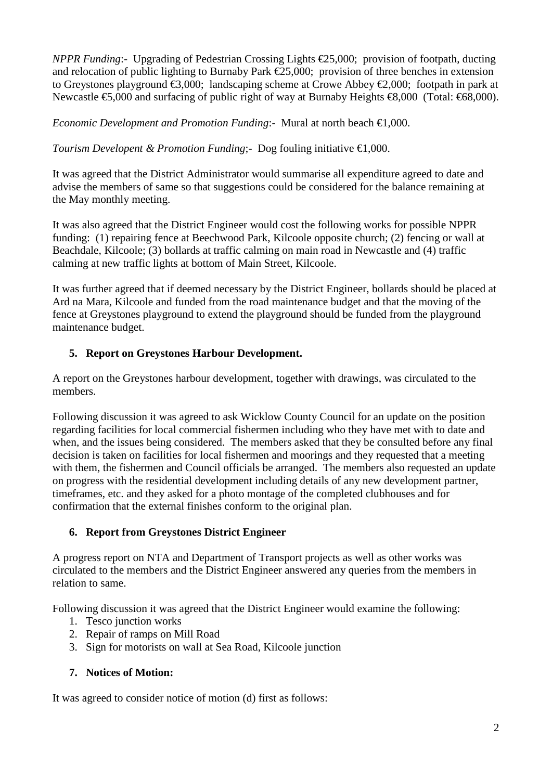*NPPR Funding*:- Upgrading of Pedestrian Crossing Lights €25,000; provision of footpath, ducting and relocation of public lighting to Burnaby Park €25,000; provision of three benches in extension to Greystones playground €3,000; landscaping scheme at Crowe Abbey €2,000; footpath in park at Newcastle **€**5,000 and surfacing of public right of way at Burnaby Heights **€8**,000 (Total: €68,000).

*Economic Development and Promotion Funding*:- Mural at north beach **€1**,000.

*Tourism Developent & Promotion Funding*;- Dog fouling initiative  $\bigoplus$ ,000.

It was agreed that the District Administrator would summarise all expenditure agreed to date and advise the members of same so that suggestions could be considered for the balance remaining at the May monthly meeting.

It was also agreed that the District Engineer would cost the following works for possible NPPR funding: (1) repairing fence at Beechwood Park, Kilcoole opposite church; (2) fencing or wall at Beachdale, Kilcoole; (3) bollards at traffic calming on main road in Newcastle and (4) traffic calming at new traffic lights at bottom of Main Street, Kilcoole.

It was further agreed that if deemed necessary by the District Engineer, bollards should be placed at Ard na Mara, Kilcoole and funded from the road maintenance budget and that the moving of the fence at Greystones playground to extend the playground should be funded from the playground maintenance budget.

# **5. Report on Greystones Harbour Development.**

A report on the Greystones harbour development, together with drawings, was circulated to the members.

Following discussion it was agreed to ask Wicklow County Council for an update on the position regarding facilities for local commercial fishermen including who they have met with to date and when, and the issues being considered. The members asked that they be consulted before any final decision is taken on facilities for local fishermen and moorings and they requested that a meeting with them, the fishermen and Council officials be arranged. The members also requested an update on progress with the residential development including details of any new development partner, timeframes, etc. and they asked for a photo montage of the completed clubhouses and for confirmation that the external finishes conform to the original plan.

### **6. Report from Greystones District Engineer**

A progress report on NTA and Department of Transport projects as well as other works was circulated to the members and the District Engineer answered any queries from the members in relation to same.

Following discussion it was agreed that the District Engineer would examine the following:

- 1. Tesco junction works
- 2. Repair of ramps on Mill Road
- 3. Sign for motorists on wall at Sea Road, Kilcoole junction

### **7. Notices of Motion:**

It was agreed to consider notice of motion (d) first as follows: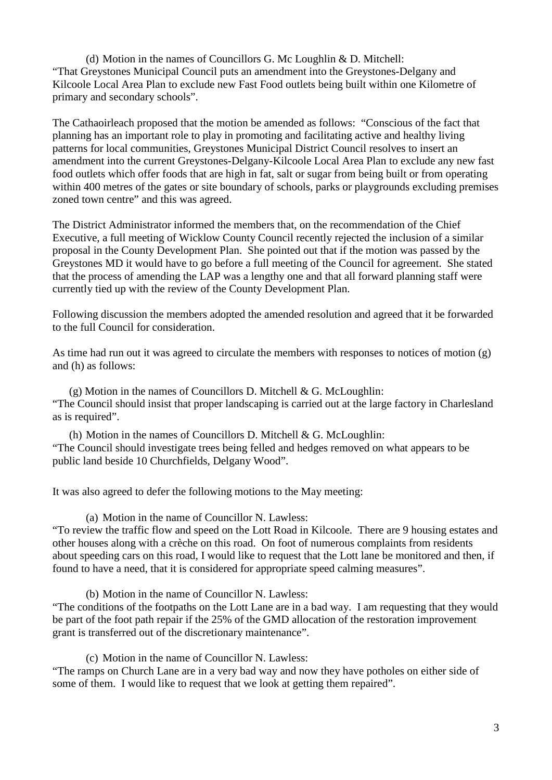(d) Motion in the names of Councillors G. Mc Loughlin & D. Mitchell: "That Greystones Municipal Council puts an amendment into the Greystones-Delgany and Kilcoole Local Area Plan to exclude new Fast Food outlets being built within one Kilometre of primary and secondary schools".

The Cathaoirleach proposed that the motion be amended as follows: "Conscious of the fact that planning has an important role to play in promoting and facilitating active and healthy living patterns for local communities, Greystones Municipal District Council resolves to insert an amendment into the current Greystones-Delgany-Kilcoole Local Area Plan to exclude any new fast food outlets which offer foods that are high in fat, salt or sugar from being built or from operating within 400 metres of the gates or site boundary of schools, parks or playgrounds excluding premises zoned town centre" and this was agreed.

The District Administrator informed the members that, on the recommendation of the Chief Executive, a full meeting of Wicklow County Council recently rejected the inclusion of a similar proposal in the County Development Plan. She pointed out that if the motion was passed by the Greystones MD it would have to go before a full meeting of the Council for agreement. She stated that the process of amending the LAP was a lengthy one and that all forward planning staff were currently tied up with the review of the County Development Plan.

Following discussion the members adopted the amended resolution and agreed that it be forwarded to the full Council for consideration.

As time had run out it was agreed to circulate the members with responses to notices of motion (g) and (h) as follows:

 $(g)$  Motion in the names of Councillors D. Mitchell & G. McLoughlin: "The Council should insist that proper landscaping is carried out at the large factory in Charlesland as is required".

(h) Motion in the names of Councillors D. Mitchell  $& G.$  McLoughlin: "The Council should investigate trees being felled and hedges removed on what appears to be public land beside 10 Churchfields, Delgany Wood".

It was also agreed to defer the following motions to the May meeting:

(a) Motion in the name of Councillor N. Lawless:

"To review the traffic flow and speed on the Lott Road in Kilcoole. There are 9 housing estates and other houses along with a crèche on this road. On foot of numerous complaints from residents about speeding cars on this road, I would like to request that the Lott lane be monitored and then, if found to have a need, that it is considered for appropriate speed calming measures".

(b) Motion in the name of Councillor N. Lawless:

"The conditions of the footpaths on the Lott Lane are in a bad way. I am requesting that they would be part of the foot path repair if the 25% of the GMD allocation of the restoration improvement grant is transferred out of the discretionary maintenance".

(c) Motion in the name of Councillor N. Lawless:

"The ramps on Church Lane are in a very bad way and now they have potholes on either side of some of them. I would like to request that we look at getting them repaired".